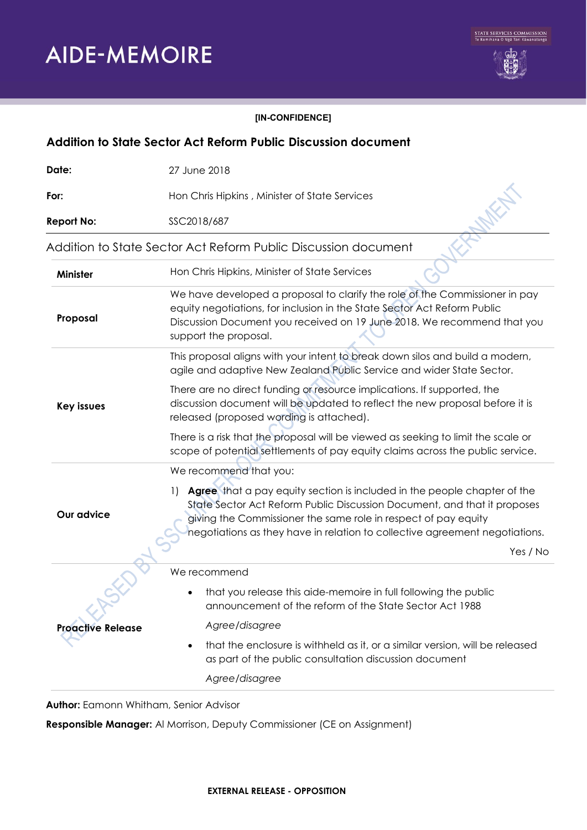

#### **[IN-CONFIDENCE]**

| Addition to State Sector Act Reform Public Discussion document |                                                                                                                                                                                                                                                                                                                             |
|----------------------------------------------------------------|-----------------------------------------------------------------------------------------------------------------------------------------------------------------------------------------------------------------------------------------------------------------------------------------------------------------------------|
| Date:                                                          | 27 June 2018                                                                                                                                                                                                                                                                                                                |
| For:                                                           | Hon Chris Hipkins, Minister of State Services                                                                                                                                                                                                                                                                               |
| <b>Report No:</b>                                              | SSC2018/687                                                                                                                                                                                                                                                                                                                 |
|                                                                | Addition to State Sector Act Reform Public Discussion document                                                                                                                                                                                                                                                              |
| Minister                                                       | Hon Chris Hipkins, Minister of State Services                                                                                                                                                                                                                                                                               |
| Proposal                                                       | We have developed a proposal to clarify the role of the Commissioner in pay<br>equity negotiations, for inclusion in the State Sector Act Reform Public<br>Discussion Document you received on 19 June 2018. We recommend that you<br>support the proposal.                                                                 |
| <b>Key issues</b>                                              | This proposal aligns with your intent to break down silos and build a modern,<br>agile and adaptive New Zealand Public Service and wider State Sector.                                                                                                                                                                      |
|                                                                | There are no direct funding or resource implications. If supported, the<br>discussion document will be updated to reflect the new proposal before it is<br>released (proposed wording is attached).                                                                                                                         |
|                                                                | There is a risk that the proposal will be viewed as seeking to limit the scale or<br>scope of potential settlements of pay equity claims across the public service.                                                                                                                                                         |
|                                                                | We recommend that you:                                                                                                                                                                                                                                                                                                      |
| Our advice                                                     | Agree that a pay equity section is included in the people chapter of the<br>$\left  \ \right $<br>State Sector Act Reform Public Discussion Document, and that it proposes<br>giving the Commissioner the same role in respect of pay equity<br>hegotiations as they have in relation to collective agreement negotiations. |
|                                                                | Yes / No                                                                                                                                                                                                                                                                                                                    |
|                                                                | We recommend                                                                                                                                                                                                                                                                                                                |
|                                                                | that you release this aide-memoire in full following the public<br>announcement of the reform of the State Sector Act 1988                                                                                                                                                                                                  |
| <b>Proactive Release</b>                                       | Agree/disagree                                                                                                                                                                                                                                                                                                              |
|                                                                | that the enclosure is withheld as it, or a similar version, will be released<br>$\bullet$<br>as part of the public consultation discussion document                                                                                                                                                                         |
|                                                                | Agree/disagree                                                                                                                                                                                                                                                                                                              |

**Author:** Eamonn Whitham, Senior Advisor

**Responsible Manager:** Al Morrison, Deputy Commissioner (CE on Assignment)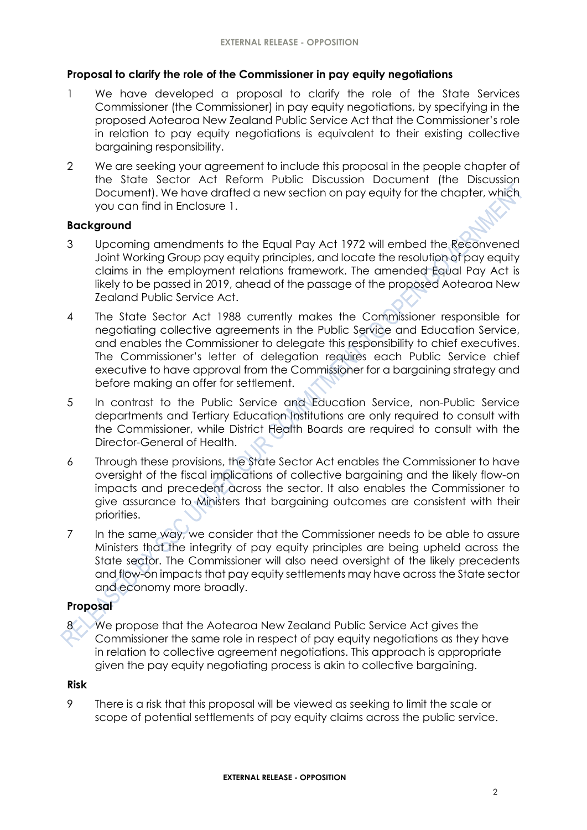#### **Proposal to clarify the role of the Commissioner in pay equity negotiations**

- 1 We have developed a proposal to clarify the role of the State Services Commissioner (the Commissioner) in pay equity negotiations, by specifying in the proposed Aotearoa New Zealand Public Service Act that the Commissioner's role in relation to pay equity negotiations is equivalent to their existing collective bargaining responsibility.
- 2 We are seeking your agreement to include this proposal in the people chapter of the State Sector Act Reform Public Discussion Document (the Discussion Document). We have drafted a new section on pay equity for the chapter, which you can find in Enclosure 1.

### **Background**

- 3 Upcoming amendments to the Equal Pay Act 1972 will embed the Reconvened Joint Working Group pay equity principles, and locate the resolution of pay equity claims in the employment relations framework. The amended Equal Pay Act is likely to be passed in 2019, ahead of the passage of the proposed Aotearoa New Zealand Public Service Act.
- 4 The State Sector Act 1988 currently makes the Commissioner responsible for negotiating collective agreements in the Public Service and Education Service, and enables the Commissioner to delegate this responsibility to chief executives. The Commissioner's letter of delegation requires each Public Service chief executive to have approval from the Commissioner for a bargaining strategy and before making an offer for settlement.
- 5 In contrast to the Public Service and Education Service, non-Public Service departments and Tertiary Education Institutions are only required to consult with the Commissioner, while District Health Boards are required to consult with the Director-General of Health.
- 6 Through these provisions, the State Sector Act enables the Commissioner to have oversight of the fiscal implications of collective bargaining and the likely flow-on impacts and precedent across the sector. It also enables the Commissioner to give assurance to Ministers that bargaining outcomes are consistent with their priorities.
- 7 In the same way, we consider that the Commissioner needs to be able to assure Ministers that the integrity of pay equity principles are being upheld across the State sector. The Commissioner will also need oversight of the likely precedents and flow-on impacts that pay equity settlements may have across the State sector and economy more broadly.

## **Proposal**

We propose that the Aotearoa New Zealand Public Service Act gives the Commissioner the same role in respect of pay equity negotiations as they have in relation to collective agreement negotiations. This approach is appropriate given the pay equity negotiating process is akin to collective bargaining.

### **Risk**

9 There is a risk that this proposal will be viewed as seeking to limit the scale or scope of potential settlements of pay equity claims across the public service.